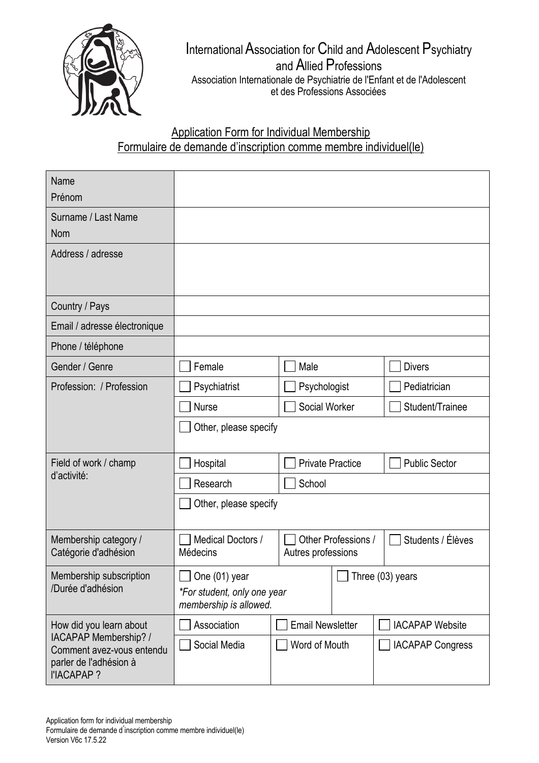

## InternationalAssociation for Child and Adolescent Psychiatry and Allied Professions Association Internationale de Psychiatrie de l'Enfant et de l'Adolescent et des Professions Associées

## Application Form for Individual Membership Formulaire de demande d'inscription comme membre individuel(le)

| Name<br>Prénom                                                                                                                |                                                                               |                         |                     |                         |  |
|-------------------------------------------------------------------------------------------------------------------------------|-------------------------------------------------------------------------------|-------------------------|---------------------|-------------------------|--|
| Surname / Last Name<br><b>Nom</b>                                                                                             |                                                                               |                         |                     |                         |  |
| Address / adresse                                                                                                             |                                                                               |                         |                     |                         |  |
| Country / Pays                                                                                                                |                                                                               |                         |                     |                         |  |
| Email / adresse électronique                                                                                                  |                                                                               |                         |                     |                         |  |
| Phone / téléphone                                                                                                             |                                                                               |                         |                     |                         |  |
| Gender / Genre                                                                                                                | Female                                                                        | Male                    |                     | <b>Divers</b>           |  |
| Profession: / Profession                                                                                                      | Psychiatrist                                                                  | Psychologist            |                     | Pediatrician            |  |
|                                                                                                                               | <b>Nurse</b>                                                                  | Social Worker           |                     | Student/Trainee         |  |
|                                                                                                                               | Other, please specify                                                         |                         |                     |                         |  |
| Field of work / champ<br>d'activité:                                                                                          | Hospital                                                                      | <b>Private Practice</b> |                     | <b>Public Sector</b>    |  |
|                                                                                                                               | Research                                                                      | School                  |                     |                         |  |
|                                                                                                                               | Other, please specify                                                         |                         |                     |                         |  |
| Membership category /<br>Catégorie d'adhésion                                                                                 | Medical Doctors /<br>Médecins                                                 | Autres professions      | Other Professions / | Students / Élèves       |  |
| Membership subscription<br>/Durée d'adhésion                                                                                  | $\Box$ One (01) year<br>*For student, only one year<br>membership is allowed. |                         |                     | $\Box$ Three (03) years |  |
| How did you learn about<br><b>IACAPAP Membership? /</b><br>Comment avez-vous entendu<br>parler de l'adhésion à<br>l'IACAPAP ? | Association                                                                   | <b>Email Newsletter</b> |                     | <b>IACAPAP Website</b>  |  |
|                                                                                                                               | Social Media                                                                  | Word of Mouth           |                     | <b>IACAPAP Congress</b> |  |